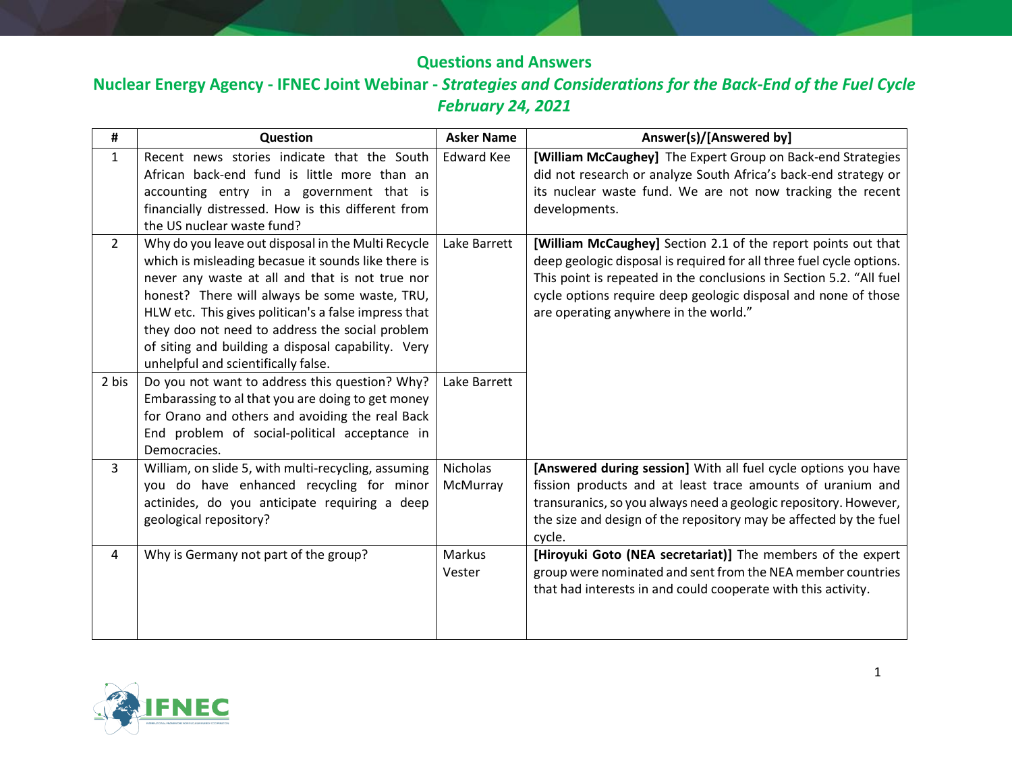## **Questions and Answers**

**Nuclear Energy Agency - IFNEC Joint Webinar -** *Strategies and Considerations for the Back-End of the Fuel Cycle February 24, 2021*

| #              | Question                                                                                                                                                                                                                                                                                                                                                                                                              | <b>Asker Name</b>    | Answer(s)/[Answered by]                                                                                                                                                                                                                                                                                                 |
|----------------|-----------------------------------------------------------------------------------------------------------------------------------------------------------------------------------------------------------------------------------------------------------------------------------------------------------------------------------------------------------------------------------------------------------------------|----------------------|-------------------------------------------------------------------------------------------------------------------------------------------------------------------------------------------------------------------------------------------------------------------------------------------------------------------------|
| $\mathbf{1}$   | Recent news stories indicate that the South<br>African back-end fund is little more than an                                                                                                                                                                                                                                                                                                                           | <b>Edward Kee</b>    | [William McCaughey] The Expert Group on Back-end Strategies<br>did not research or analyze South Africa's back-end strategy or<br>its nuclear waste fund. We are not now tracking the recent                                                                                                                            |
|                | accounting entry in a government that is<br>financially distressed. How is this different from<br>the US nuclear waste fund?                                                                                                                                                                                                                                                                                          |                      | developments.                                                                                                                                                                                                                                                                                                           |
| $\overline{2}$ | Why do you leave out disposal in the Multi Recycle<br>which is misleading becasue it sounds like there is<br>never any waste at all and that is not true nor<br>honest? There will always be some waste, TRU,<br>HLW etc. This gives politican's a false impress that<br>they doo not need to address the social problem<br>of siting and building a disposal capability. Very<br>unhelpful and scientifically false. | Lake Barrett         | [William McCaughey] Section 2.1 of the report points out that<br>deep geologic disposal is required for all three fuel cycle options.<br>This point is repeated in the conclusions in Section 5.2. "All fuel<br>cycle options require deep geologic disposal and none of those<br>are operating anywhere in the world." |
| 2 bis          | Do you not want to address this question? Why?<br>Embarassing to al that you are doing to get money<br>for Orano and others and avoiding the real Back<br>End problem of social-political acceptance in<br>Democracies.                                                                                                                                                                                               | Lake Barrett         |                                                                                                                                                                                                                                                                                                                         |
| 3              | William, on slide 5, with multi-recycling, assuming<br>you do have enhanced recycling for minor<br>actinides, do you anticipate requiring a deep<br>geological repository?                                                                                                                                                                                                                                            | Nicholas<br>McMurray | [Answered during session] With all fuel cycle options you have<br>fission products and at least trace amounts of uranium and<br>transuranics, so you always need a geologic repository. However,<br>the size and design of the repository may be affected by the fuel<br>cycle.                                         |
| $\overline{4}$ | Why is Germany not part of the group?                                                                                                                                                                                                                                                                                                                                                                                 | Markus<br>Vester     | [Hiroyuki Goto (NEA secretariat)] The members of the expert<br>group were nominated and sent from the NEA member countries<br>that had interests in and could cooperate with this activity.                                                                                                                             |

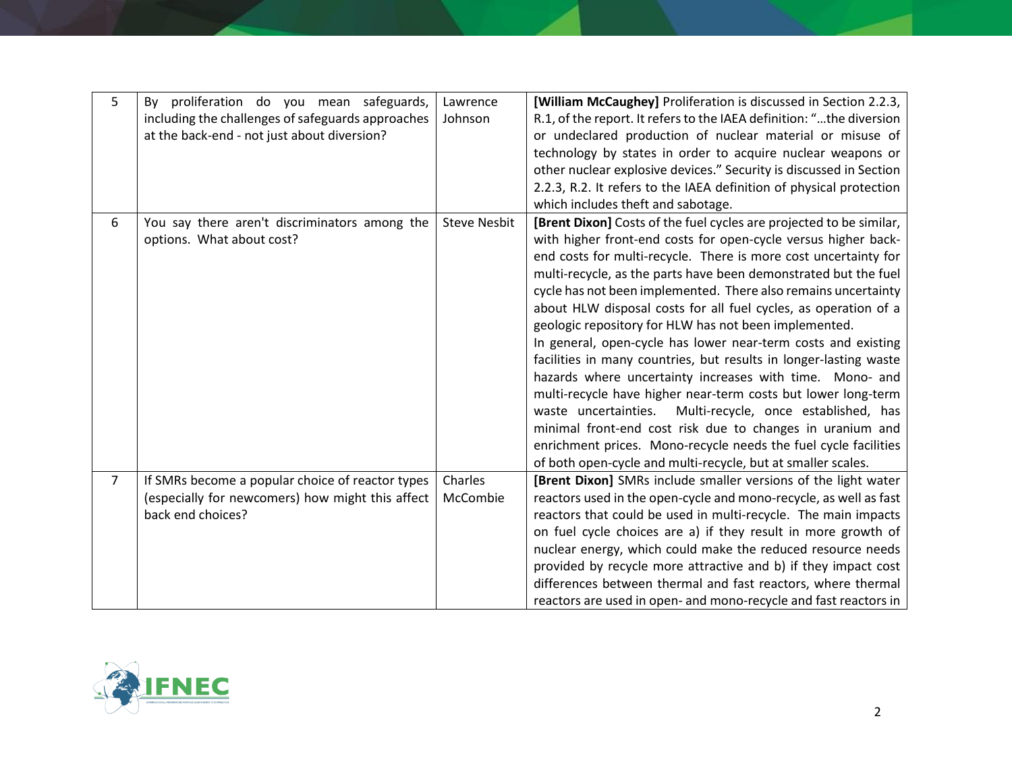| 5              | By proliferation do you mean safeguards,<br>including the challenges of safeguards approaches<br>at the back-end - not just about diversion? | Lawrence<br>Johnson | [William McCaughey] Proliferation is discussed in Section 2.2.3,<br>R.1, of the report. It refers to the IAEA definition: "the diversion<br>or undeclared production of nuclear material or misuse of<br>technology by states in order to acquire nuclear weapons or<br>other nuclear explosive devices." Security is discussed in Section<br>2.2.3, R.2. It refers to the IAEA definition of physical protection<br>which includes theft and sabotage.                                                                                                                                                                                                                                                                                                                                                                                                                                                                                                                                                      |
|----------------|----------------------------------------------------------------------------------------------------------------------------------------------|---------------------|--------------------------------------------------------------------------------------------------------------------------------------------------------------------------------------------------------------------------------------------------------------------------------------------------------------------------------------------------------------------------------------------------------------------------------------------------------------------------------------------------------------------------------------------------------------------------------------------------------------------------------------------------------------------------------------------------------------------------------------------------------------------------------------------------------------------------------------------------------------------------------------------------------------------------------------------------------------------------------------------------------------|
| 6              | You say there aren't discriminators among the<br>options. What about cost?                                                                   | <b>Steve Nesbit</b> | [Brent Dixon] Costs of the fuel cycles are projected to be similar,<br>with higher front-end costs for open-cycle versus higher back-<br>end costs for multi-recycle. There is more cost uncertainty for<br>multi-recycle, as the parts have been demonstrated but the fuel<br>cycle has not been implemented. There also remains uncertainty<br>about HLW disposal costs for all fuel cycles, as operation of a<br>geologic repository for HLW has not been implemented.<br>In general, open-cycle has lower near-term costs and existing<br>facilities in many countries, but results in longer-lasting waste<br>hazards where uncertainty increases with time. Mono- and<br>multi-recycle have higher near-term costs but lower long-term<br>waste uncertainties.<br>Multi-recycle, once established, has<br>minimal front-end cost risk due to changes in uranium and<br>enrichment prices. Mono-recycle needs the fuel cycle facilities<br>of both open-cycle and multi-recycle, but at smaller scales. |
| $\overline{7}$ | If SMRs become a popular choice of reactor types<br>(especially for newcomers) how might this affect<br>back end choices?                    | Charles<br>McCombie | [Brent Dixon] SMRs include smaller versions of the light water<br>reactors used in the open-cycle and mono-recycle, as well as fast<br>reactors that could be used in multi-recycle. The main impacts<br>on fuel cycle choices are a) if they result in more growth of<br>nuclear energy, which could make the reduced resource needs<br>provided by recycle more attractive and b) if they impact cost<br>differences between thermal and fast reactors, where thermal<br>reactors are used in open- and mono-recycle and fast reactors in                                                                                                                                                                                                                                                                                                                                                                                                                                                                  |

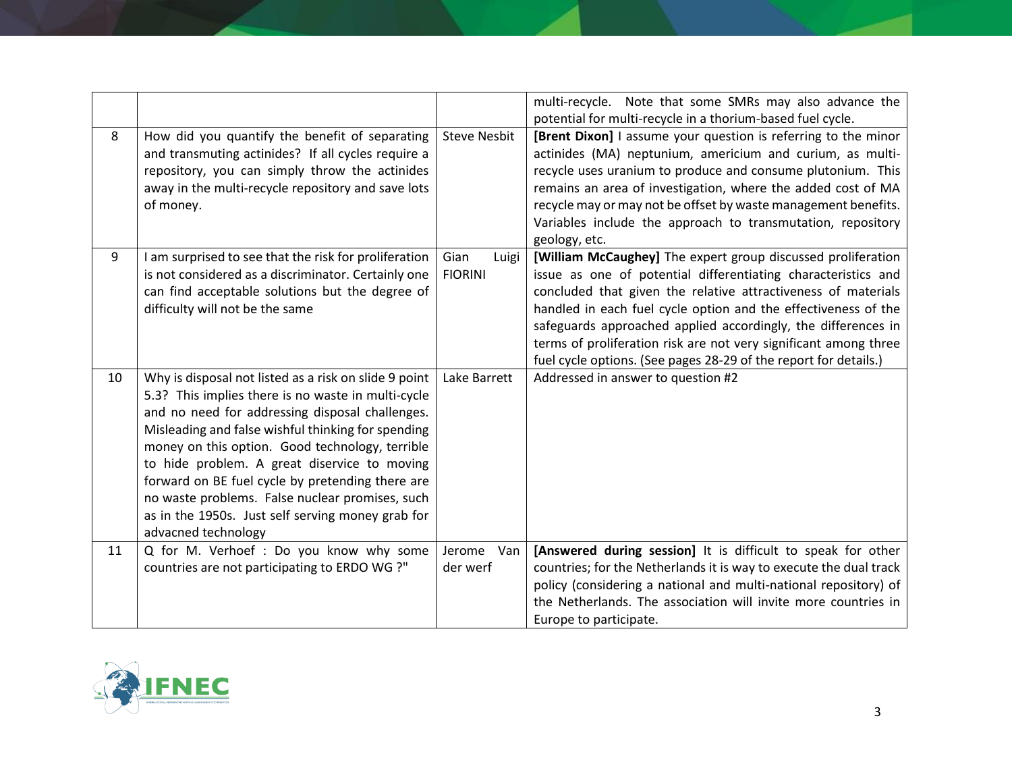|    |                                                                                                                                                                                                                                                                                                                                                                                                                                                                                                            |                                 | multi-recycle. Note that some SMRs may also advance the<br>potential for multi-recycle in a thorium-based fuel cycle.                                                                                                                                                                                                                                                                                                                                                     |
|----|------------------------------------------------------------------------------------------------------------------------------------------------------------------------------------------------------------------------------------------------------------------------------------------------------------------------------------------------------------------------------------------------------------------------------------------------------------------------------------------------------------|---------------------------------|---------------------------------------------------------------------------------------------------------------------------------------------------------------------------------------------------------------------------------------------------------------------------------------------------------------------------------------------------------------------------------------------------------------------------------------------------------------------------|
| 8  | How did you quantify the benefit of separating<br>and transmuting actinides? If all cycles require a<br>repository, you can simply throw the actinides<br>away in the multi-recycle repository and save lots<br>of money.                                                                                                                                                                                                                                                                                  | <b>Steve Nesbit</b>             | [Brent Dixon] I assume your question is referring to the minor<br>actinides (MA) neptunium, americium and curium, as multi-<br>recycle uses uranium to produce and consume plutonium. This<br>remains an area of investigation, where the added cost of MA<br>recycle may or may not be offset by waste management benefits.<br>Variables include the approach to transmutation, repository<br>geology, etc.                                                              |
| 9  | I am surprised to see that the risk for proliferation<br>is not considered as a discriminator. Certainly one<br>can find acceptable solutions but the degree of<br>difficulty will not be the same                                                                                                                                                                                                                                                                                                         | Gian<br>Luigi<br><b>FIORINI</b> | [William McCaughey] The expert group discussed proliferation<br>issue as one of potential differentiating characteristics and<br>concluded that given the relative attractiveness of materials<br>handled in each fuel cycle option and the effectiveness of the<br>safeguards approached applied accordingly, the differences in<br>terms of proliferation risk are not very significant among three<br>fuel cycle options. (See pages 28-29 of the report for details.) |
| 10 | Why is disposal not listed as a risk on slide 9 point<br>5.3? This implies there is no waste in multi-cycle<br>and no need for addressing disposal challenges.<br>Misleading and false wishful thinking for spending<br>money on this option. Good technology, terrible<br>to hide problem. A great diservice to moving<br>forward on BE fuel cycle by pretending there are<br>no waste problems. False nuclear promises, such<br>as in the 1950s. Just self serving money grab for<br>advacned technology | Lake Barrett                    | Addressed in answer to question #2                                                                                                                                                                                                                                                                                                                                                                                                                                        |
| 11 | Q for M. Verhoef : Do you know why some<br>countries are not participating to ERDO WG ?"                                                                                                                                                                                                                                                                                                                                                                                                                   | Jerome<br>Van<br>der werf       | [Answered during session] It is difficult to speak for other<br>countries; for the Netherlands it is way to execute the dual track<br>policy (considering a national and multi-national repository) of<br>the Netherlands. The association will invite more countries in<br>Europe to participate.                                                                                                                                                                        |

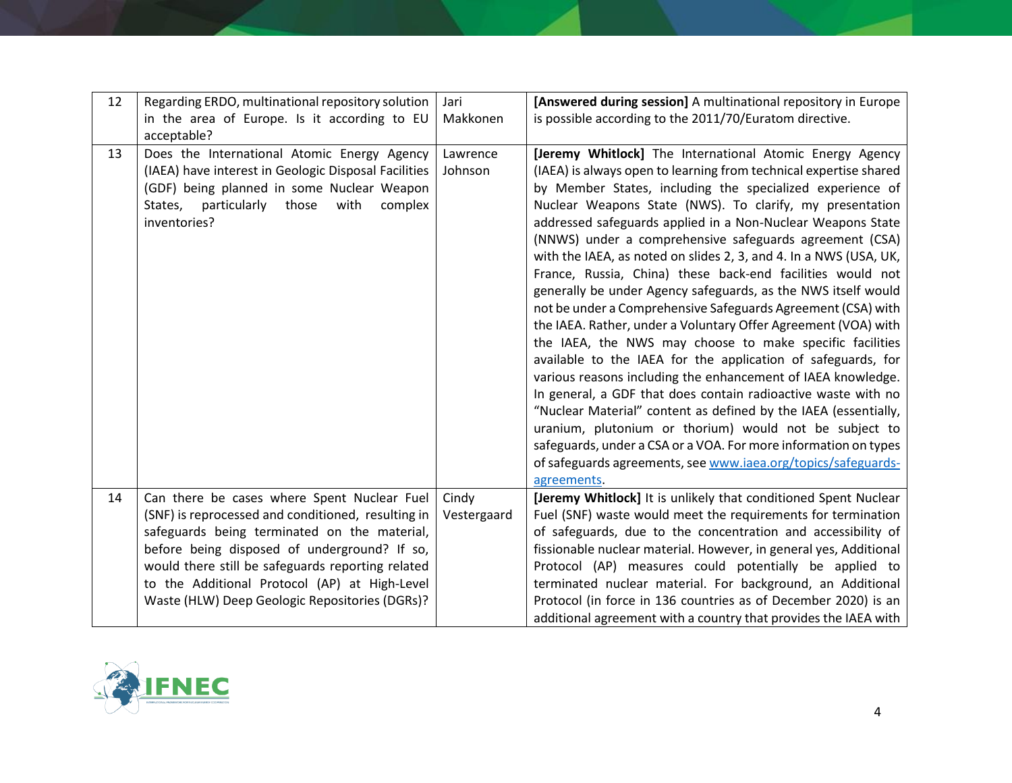| 12 | Regarding ERDO, multinational repository solution<br>in the area of Europe. Is it according to EU<br>acceptable?                                                                                                                                                                                                                                          | Jari<br>Makkonen     | [Answered during session] A multinational repository in Europe<br>is possible according to the 2011/70/Euratom directive.                                                                                                                                                                                                                                                                                                                                                                                                                                                                                                                                                                                                                                                                                                                                                                                                                                                                                                                                                                                                                                                                                                                                           |
|----|-----------------------------------------------------------------------------------------------------------------------------------------------------------------------------------------------------------------------------------------------------------------------------------------------------------------------------------------------------------|----------------------|---------------------------------------------------------------------------------------------------------------------------------------------------------------------------------------------------------------------------------------------------------------------------------------------------------------------------------------------------------------------------------------------------------------------------------------------------------------------------------------------------------------------------------------------------------------------------------------------------------------------------------------------------------------------------------------------------------------------------------------------------------------------------------------------------------------------------------------------------------------------------------------------------------------------------------------------------------------------------------------------------------------------------------------------------------------------------------------------------------------------------------------------------------------------------------------------------------------------------------------------------------------------|
| 13 | Does the International Atomic Energy Agency<br>(IAEA) have interest in Geologic Disposal Facilities<br>(GDF) being planned in some Nuclear Weapon<br>States,<br>particularly<br>those<br>with<br>complex<br>inventories?                                                                                                                                  | Lawrence<br>Johnson  | [Jeremy Whitlock] The International Atomic Energy Agency<br>(IAEA) is always open to learning from technical expertise shared<br>by Member States, including the specialized experience of<br>Nuclear Weapons State (NWS). To clarify, my presentation<br>addressed safeguards applied in a Non-Nuclear Weapons State<br>(NNWS) under a comprehensive safeguards agreement (CSA)<br>with the IAEA, as noted on slides 2, 3, and 4. In a NWS (USA, UK,<br>France, Russia, China) these back-end facilities would not<br>generally be under Agency safeguards, as the NWS itself would<br>not be under a Comprehensive Safeguards Agreement (CSA) with<br>the IAEA. Rather, under a Voluntary Offer Agreement (VOA) with<br>the IAEA, the NWS may choose to make specific facilities<br>available to the IAEA for the application of safeguards, for<br>various reasons including the enhancement of IAEA knowledge.<br>In general, a GDF that does contain radioactive waste with no<br>"Nuclear Material" content as defined by the IAEA (essentially,<br>uranium, plutonium or thorium) would not be subject to<br>safeguards, under a CSA or a VOA. For more information on types<br>of safeguards agreements, see www.iaea.org/topics/safeguards-<br>agreements. |
| 14 | Can there be cases where Spent Nuclear Fuel<br>(SNF) is reprocessed and conditioned, resulting in<br>safeguards being terminated on the material,<br>before being disposed of underground? If so,<br>would there still be safeguards reporting related<br>to the Additional Protocol (AP) at High-Level<br>Waste (HLW) Deep Geologic Repositories (DGRs)? | Cindy<br>Vestergaard | [Jeremy Whitlock] It is unlikely that conditioned Spent Nuclear<br>Fuel (SNF) waste would meet the requirements for termination<br>of safeguards, due to the concentration and accessibility of<br>fissionable nuclear material. However, in general yes, Additional<br>Protocol (AP) measures could potentially be applied to<br>terminated nuclear material. For background, an Additional<br>Protocol (in force in 136 countries as of December 2020) is an<br>additional agreement with a country that provides the IAEA with                                                                                                                                                                                                                                                                                                                                                                                                                                                                                                                                                                                                                                                                                                                                   |

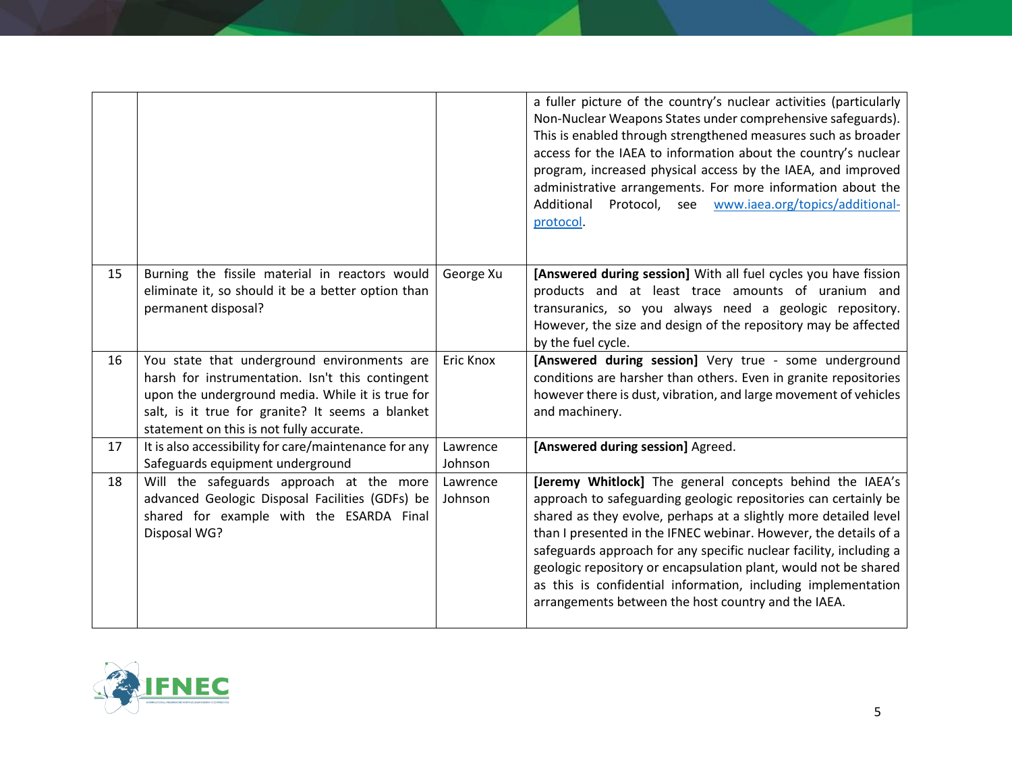|    |                                                                                                                                                                                                                                                     |                     | a fuller picture of the country's nuclear activities (particularly<br>Non-Nuclear Weapons States under comprehensive safeguards).<br>This is enabled through strengthened measures such as broader<br>access for the IAEA to information about the country's nuclear<br>program, increased physical access by the IAEA, and improved<br>administrative arrangements. For more information about the<br>www.iaea.org/topics/additional-<br>Protocol, see<br>Additional<br>protocol.                                                   |
|----|-----------------------------------------------------------------------------------------------------------------------------------------------------------------------------------------------------------------------------------------------------|---------------------|--------------------------------------------------------------------------------------------------------------------------------------------------------------------------------------------------------------------------------------------------------------------------------------------------------------------------------------------------------------------------------------------------------------------------------------------------------------------------------------------------------------------------------------|
| 15 | Burning the fissile material in reactors would<br>eliminate it, so should it be a better option than<br>permanent disposal?                                                                                                                         | George Xu           | [Answered during session] With all fuel cycles you have fission<br>products and at least trace amounts of uranium and<br>transuranics, so you always need a geologic repository.<br>However, the size and design of the repository may be affected<br>by the fuel cycle.                                                                                                                                                                                                                                                             |
| 16 | You state that underground environments are<br>harsh for instrumentation. Isn't this contingent<br>upon the underground media. While it is true for<br>salt, is it true for granite? It seems a blanket<br>statement on this is not fully accurate. | Eric Knox           | [Answered during session] Very true - some underground<br>conditions are harsher than others. Even in granite repositories<br>however there is dust, vibration, and large movement of vehicles<br>and machinery.                                                                                                                                                                                                                                                                                                                     |
| 17 | It is also accessibility for care/maintenance for any<br>Safeguards equipment underground                                                                                                                                                           | Lawrence<br>Johnson | [Answered during session] Agreed.                                                                                                                                                                                                                                                                                                                                                                                                                                                                                                    |
| 18 | Will the safeguards approach at the more<br>advanced Geologic Disposal Facilities (GDFs) be<br>shared for example with the ESARDA Final<br>Disposal WG?                                                                                             | Lawrence<br>Johnson | [Jeremy Whitlock] The general concepts behind the IAEA's<br>approach to safeguarding geologic repositories can certainly be<br>shared as they evolve, perhaps at a slightly more detailed level<br>than I presented in the IFNEC webinar. However, the details of a<br>safeguards approach for any specific nuclear facility, including a<br>geologic repository or encapsulation plant, would not be shared<br>as this is confidential information, including implementation<br>arrangements between the host country and the IAEA. |

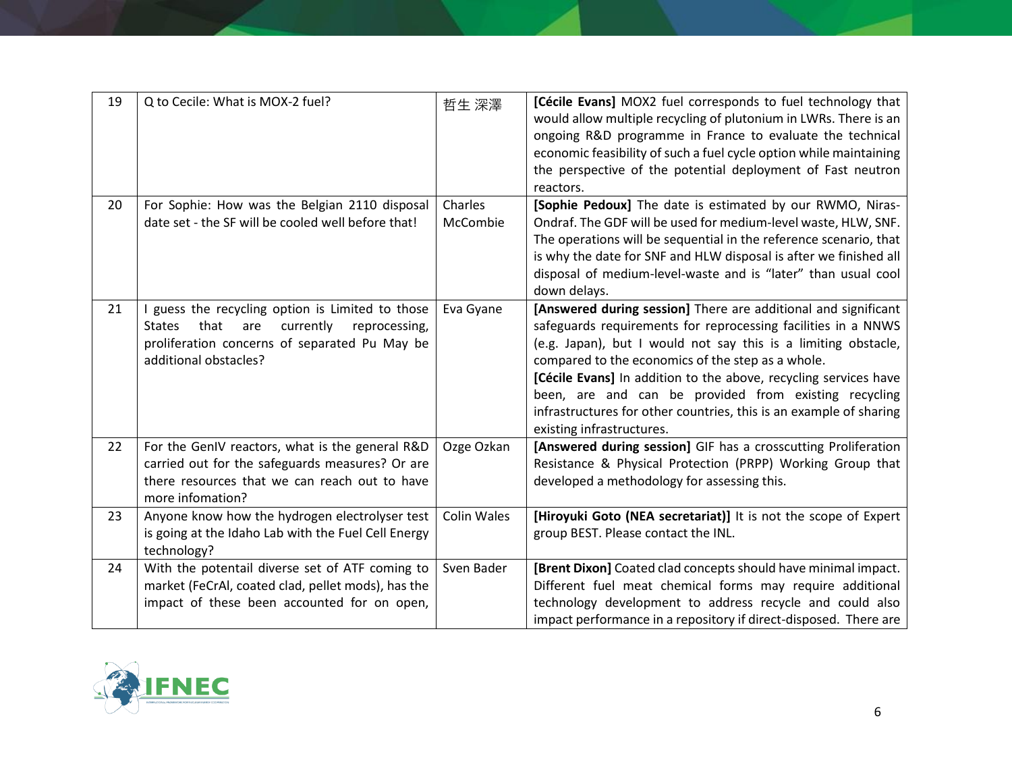| 19 | Q to Cecile: What is MOX-2 fuel?                                                                                                                                                         | 哲生 深澤               | [Cécile Evans] MOX2 fuel corresponds to fuel technology that<br>would allow multiple recycling of plutonium in LWRs. There is an<br>ongoing R&D programme in France to evaluate the technical<br>economic feasibility of such a fuel cycle option while maintaining<br>the perspective of the potential deployment of Fast neutron<br>reactors.                                                                                                                                        |
|----|------------------------------------------------------------------------------------------------------------------------------------------------------------------------------------------|---------------------|----------------------------------------------------------------------------------------------------------------------------------------------------------------------------------------------------------------------------------------------------------------------------------------------------------------------------------------------------------------------------------------------------------------------------------------------------------------------------------------|
| 20 | For Sophie: How was the Belgian 2110 disposal<br>date set - the SF will be cooled well before that!                                                                                      | Charles<br>McCombie | [Sophie Pedoux] The date is estimated by our RWMO, Niras-<br>Ondraf. The GDF will be used for medium-level waste, HLW, SNF.<br>The operations will be sequential in the reference scenario, that<br>is why the date for SNF and HLW disposal is after we finished all<br>disposal of medium-level-waste and is "later" than usual cool<br>down delays.                                                                                                                                 |
| 21 | I guess the recycling option is Limited to those<br>currently<br>that<br><b>States</b><br>are<br>reprocessing,<br>proliferation concerns of separated Pu May be<br>additional obstacles? | Eva Gyane           | [Answered during session] There are additional and significant<br>safeguards requirements for reprocessing facilities in a NNWS<br>(e.g. Japan), but I would not say this is a limiting obstacle,<br>compared to the economics of the step as a whole.<br>[Cécile Evans] In addition to the above, recycling services have<br>been, are and can be provided from existing recycling<br>infrastructures for other countries, this is an example of sharing<br>existing infrastructures. |
| 22 | For the GenIV reactors, what is the general R&D<br>carried out for the safeguards measures? Or are<br>there resources that we can reach out to have<br>more infomation?                  | Ozge Ozkan          | [Answered during session] GIF has a crosscutting Proliferation<br>Resistance & Physical Protection (PRPP) Working Group that<br>developed a methodology for assessing this.                                                                                                                                                                                                                                                                                                            |
| 23 | Anyone know how the hydrogen electrolyser test<br>is going at the Idaho Lab with the Fuel Cell Energy<br>technology?                                                                     | <b>Colin Wales</b>  | [Hiroyuki Goto (NEA secretariat)] It is not the scope of Expert<br>group BEST. Please contact the INL.                                                                                                                                                                                                                                                                                                                                                                                 |
| 24 | With the potentail diverse set of ATF coming to<br>market (FeCrAI, coated clad, pellet mods), has the<br>impact of these been accounted for on open,                                     | Sven Bader          | [Brent Dixon] Coated clad concepts should have minimal impact.<br>Different fuel meat chemical forms may require additional<br>technology development to address recycle and could also<br>impact performance in a repository if direct-disposed. There are                                                                                                                                                                                                                            |

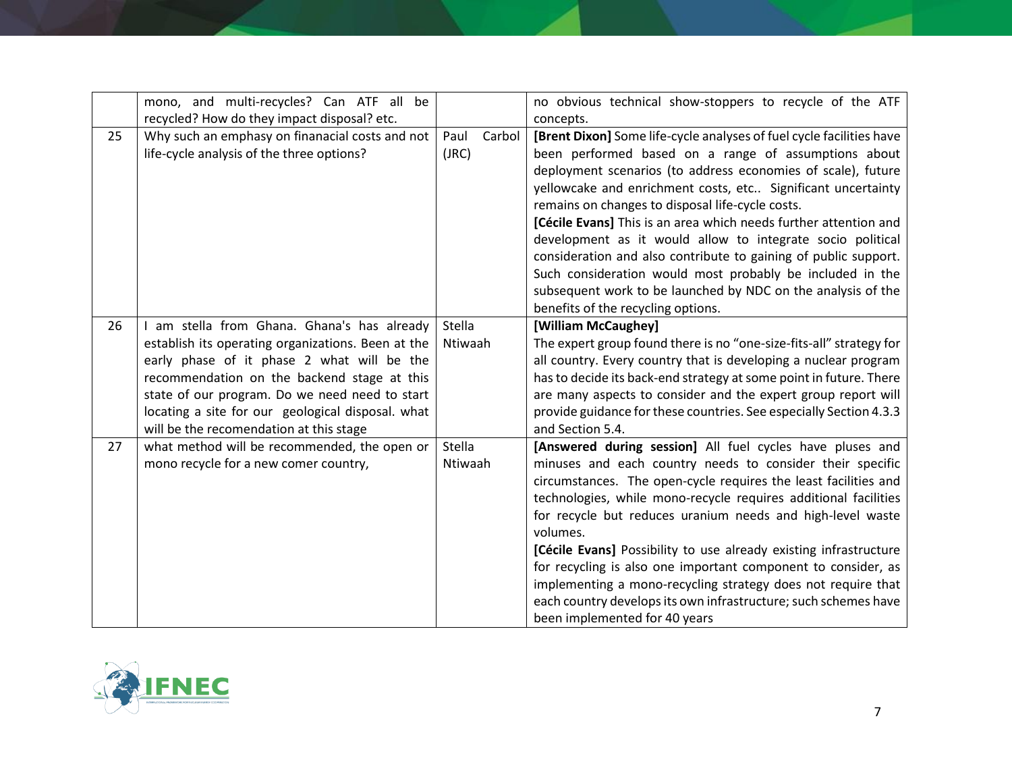|    | mono, and multi-recycles? Can ATF all be<br>recycled? How do they impact disposal? etc.                                                                                                                                                                                                                                                        |                          | no obvious technical show-stoppers to recycle of the ATF<br>concepts.                                                                                                                                                                                                                                                                                                                                                                                                                                                                                                                                                                                                                    |
|----|------------------------------------------------------------------------------------------------------------------------------------------------------------------------------------------------------------------------------------------------------------------------------------------------------------------------------------------------|--------------------------|------------------------------------------------------------------------------------------------------------------------------------------------------------------------------------------------------------------------------------------------------------------------------------------------------------------------------------------------------------------------------------------------------------------------------------------------------------------------------------------------------------------------------------------------------------------------------------------------------------------------------------------------------------------------------------------|
| 25 | Why such an emphasy on finanacial costs and not<br>life-cycle analysis of the three options?                                                                                                                                                                                                                                                   | Carbol<br>Paul<br>(JRC)  | [Brent Dixon] Some life-cycle analyses of fuel cycle facilities have<br>been performed based on a range of assumptions about<br>deployment scenarios (to address economies of scale), future<br>yellowcake and enrichment costs, etc Significant uncertainty<br>remains on changes to disposal life-cycle costs.<br>[Cécile Evans] This is an area which needs further attention and<br>development as it would allow to integrate socio political<br>consideration and also contribute to gaining of public support.<br>Such consideration would most probably be included in the<br>subsequent work to be launched by NDC on the analysis of the<br>benefits of the recycling options. |
| 26 | am stella from Ghana. Ghana's has already<br>establish its operating organizations. Been at the<br>early phase of it phase 2 what will be the<br>recommendation on the backend stage at this<br>state of our program. Do we need need to start<br>locating a site for our geological disposal. what<br>will be the recomendation at this stage | Stella<br>Ntiwaah        | [William McCaughey]<br>The expert group found there is no "one-size-fits-all" strategy for<br>all country. Every country that is developing a nuclear program<br>has to decide its back-end strategy at some point in future. There<br>are many aspects to consider and the expert group report will<br>provide guidance for these countries. See especially Section 4.3.3<br>and Section 5.4.                                                                                                                                                                                                                                                                                           |
| 27 | what method will be recommended, the open or<br>mono recycle for a new comer country,                                                                                                                                                                                                                                                          | <b>Stella</b><br>Ntiwaah | [Answered during session] All fuel cycles have pluses and<br>minuses and each country needs to consider their specific<br>circumstances. The open-cycle requires the least facilities and<br>technologies, while mono-recycle requires additional facilities<br>for recycle but reduces uranium needs and high-level waste<br>volumes.<br>[Cécile Evans] Possibility to use already existing infrastructure<br>for recycling is also one important component to consider, as<br>implementing a mono-recycling strategy does not require that<br>each country develops its own infrastructure; such schemes have<br>been implemented for 40 years                                         |

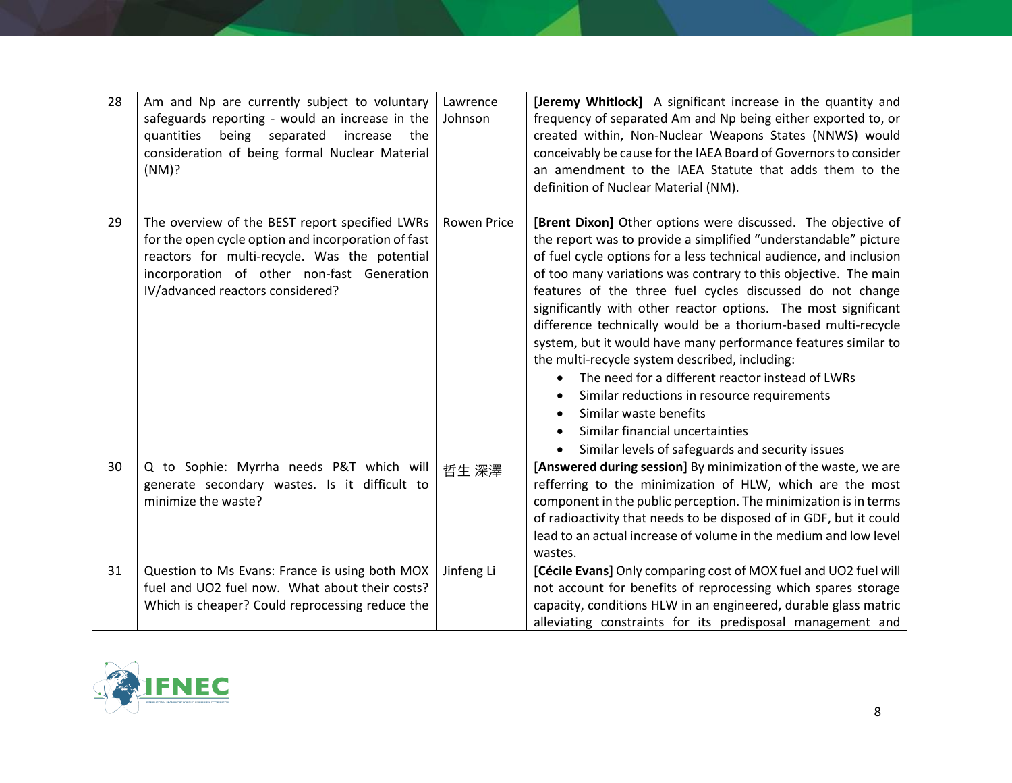| 28 | Am and Np are currently subject to voluntary<br>safeguards reporting - would an increase in the<br>being separated increase<br>quantities<br>the<br>consideration of being formal Nuclear Material<br>(NM)?                              | Lawrence<br>Johnson | [Jeremy Whitlock] A significant increase in the quantity and<br>frequency of separated Am and Np being either exported to, or<br>created within, Non-Nuclear Weapons States (NNWS) would<br>conceivably be cause for the IAEA Board of Governors to consider<br>an amendment to the IAEA Statute that adds them to the<br>definition of Nuclear Material (NM).                                                                                                                                                                                                                                                                                                                                                                                                                                                   |
|----|------------------------------------------------------------------------------------------------------------------------------------------------------------------------------------------------------------------------------------------|---------------------|------------------------------------------------------------------------------------------------------------------------------------------------------------------------------------------------------------------------------------------------------------------------------------------------------------------------------------------------------------------------------------------------------------------------------------------------------------------------------------------------------------------------------------------------------------------------------------------------------------------------------------------------------------------------------------------------------------------------------------------------------------------------------------------------------------------|
| 29 | The overview of the BEST report specified LWRs<br>for the open cycle option and incorporation of fast<br>reactors for multi-recycle. Was the potential<br>incorporation of other non-fast Generation<br>IV/advanced reactors considered? | <b>Rowen Price</b>  | [Brent Dixon] Other options were discussed. The objective of<br>the report was to provide a simplified "understandable" picture<br>of fuel cycle options for a less technical audience, and inclusion<br>of too many variations was contrary to this objective. The main<br>features of the three fuel cycles discussed do not change<br>significantly with other reactor options. The most significant<br>difference technically would be a thorium-based multi-recycle<br>system, but it would have many performance features similar to<br>the multi-recycle system described, including:<br>The need for a different reactor instead of LWRs<br>Similar reductions in resource requirements<br>Similar waste benefits<br>Similar financial uncertainties<br>Similar levels of safeguards and security issues |
| 30 | Q to Sophie: Myrrha needs P&T which will<br>generate secondary wastes. Is it difficult to<br>minimize the waste?                                                                                                                         | 哲生 深澤               | [Answered during session] By minimization of the waste, we are<br>refferring to the minimization of HLW, which are the most<br>component in the public perception. The minimization is in terms<br>of radioactivity that needs to be disposed of in GDF, but it could<br>lead to an actual increase of volume in the medium and low level<br>wastes.                                                                                                                                                                                                                                                                                                                                                                                                                                                             |
| 31 | Question to Ms Evans: France is using both MOX<br>fuel and UO2 fuel now. What about their costs?<br>Which is cheaper? Could reprocessing reduce the                                                                                      | Jinfeng Li          | [Cécile Evans] Only comparing cost of MOX fuel and UO2 fuel will<br>not account for benefits of reprocessing which spares storage<br>capacity, conditions HLW in an engineered, durable glass matric<br>alleviating constraints for its predisposal management and                                                                                                                                                                                                                                                                                                                                                                                                                                                                                                                                               |

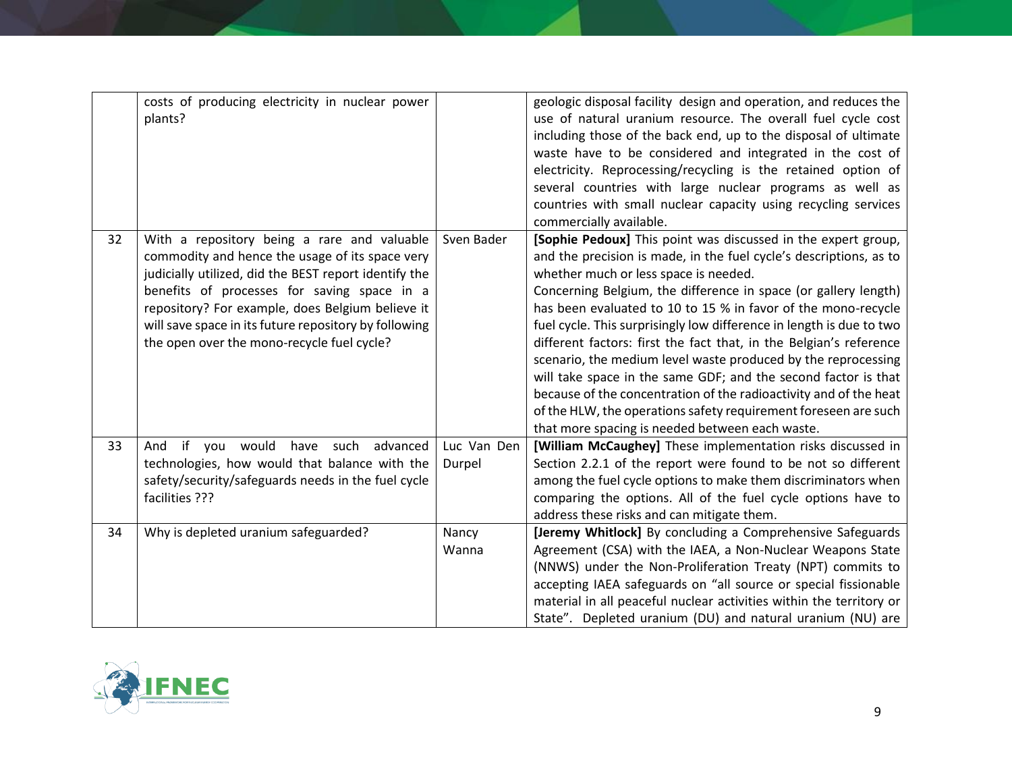|    | costs of producing electricity in nuclear power<br>plants?                                                                                                                                                                                                                                                                                                        |             | geologic disposal facility design and operation, and reduces the<br>use of natural uranium resource. The overall fuel cycle cost<br>including those of the back end, up to the disposal of ultimate<br>waste have to be considered and integrated in the cost of<br>electricity. Reprocessing/recycling is the retained option of<br>several countries with large nuclear programs as well as                                                                                                                                                                                                                                                                                                                                                                                                |
|----|-------------------------------------------------------------------------------------------------------------------------------------------------------------------------------------------------------------------------------------------------------------------------------------------------------------------------------------------------------------------|-------------|----------------------------------------------------------------------------------------------------------------------------------------------------------------------------------------------------------------------------------------------------------------------------------------------------------------------------------------------------------------------------------------------------------------------------------------------------------------------------------------------------------------------------------------------------------------------------------------------------------------------------------------------------------------------------------------------------------------------------------------------------------------------------------------------|
|    |                                                                                                                                                                                                                                                                                                                                                                   |             | countries with small nuclear capacity using recycling services<br>commercially available.                                                                                                                                                                                                                                                                                                                                                                                                                                                                                                                                                                                                                                                                                                    |
| 32 | With a repository being a rare and valuable<br>commodity and hence the usage of its space very<br>judicially utilized, did the BEST report identify the<br>benefits of processes for saving space in a<br>repository? For example, does Belgium believe it<br>will save space in its future repository by following<br>the open over the mono-recycle fuel cycle? | Sven Bader  | [Sophie Pedoux] This point was discussed in the expert group,<br>and the precision is made, in the fuel cycle's descriptions, as to<br>whether much or less space is needed.<br>Concerning Belgium, the difference in space (or gallery length)<br>has been evaluated to 10 to 15 % in favor of the mono-recycle<br>fuel cycle. This surprisingly low difference in length is due to two<br>different factors: first the fact that, in the Belgian's reference<br>scenario, the medium level waste produced by the reprocessing<br>will take space in the same GDF; and the second factor is that<br>because of the concentration of the radioactivity and of the heat<br>of the HLW, the operations safety requirement foreseen are such<br>that more spacing is needed between each waste. |
| 33 | And if you would have such advanced                                                                                                                                                                                                                                                                                                                               | Luc Van Den | [William McCaughey] These implementation risks discussed in                                                                                                                                                                                                                                                                                                                                                                                                                                                                                                                                                                                                                                                                                                                                  |
|    | technologies, how would that balance with the                                                                                                                                                                                                                                                                                                                     | Durpel      | Section 2.2.1 of the report were found to be not so different                                                                                                                                                                                                                                                                                                                                                                                                                                                                                                                                                                                                                                                                                                                                |
|    | safety/security/safeguards needs in the fuel cycle                                                                                                                                                                                                                                                                                                                |             | among the fuel cycle options to make them discriminators when                                                                                                                                                                                                                                                                                                                                                                                                                                                                                                                                                                                                                                                                                                                                |
|    | facilities ???                                                                                                                                                                                                                                                                                                                                                    |             | comparing the options. All of the fuel cycle options have to<br>address these risks and can mitigate them.                                                                                                                                                                                                                                                                                                                                                                                                                                                                                                                                                                                                                                                                                   |
| 34 | Why is depleted uranium safeguarded?                                                                                                                                                                                                                                                                                                                              | Nancy       | [Jeremy Whitlock] By concluding a Comprehensive Safeguards                                                                                                                                                                                                                                                                                                                                                                                                                                                                                                                                                                                                                                                                                                                                   |
|    |                                                                                                                                                                                                                                                                                                                                                                   | Wanna       | Agreement (CSA) with the IAEA, a Non-Nuclear Weapons State                                                                                                                                                                                                                                                                                                                                                                                                                                                                                                                                                                                                                                                                                                                                   |
|    |                                                                                                                                                                                                                                                                                                                                                                   |             | (NNWS) under the Non-Proliferation Treaty (NPT) commits to                                                                                                                                                                                                                                                                                                                                                                                                                                                                                                                                                                                                                                                                                                                                   |
|    |                                                                                                                                                                                                                                                                                                                                                                   |             | accepting IAEA safeguards on "all source or special fissionable                                                                                                                                                                                                                                                                                                                                                                                                                                                                                                                                                                                                                                                                                                                              |
|    |                                                                                                                                                                                                                                                                                                                                                                   |             | material in all peaceful nuclear activities within the territory or                                                                                                                                                                                                                                                                                                                                                                                                                                                                                                                                                                                                                                                                                                                          |
|    |                                                                                                                                                                                                                                                                                                                                                                   |             | State". Depleted uranium (DU) and natural uranium (NU) are                                                                                                                                                                                                                                                                                                                                                                                                                                                                                                                                                                                                                                                                                                                                   |